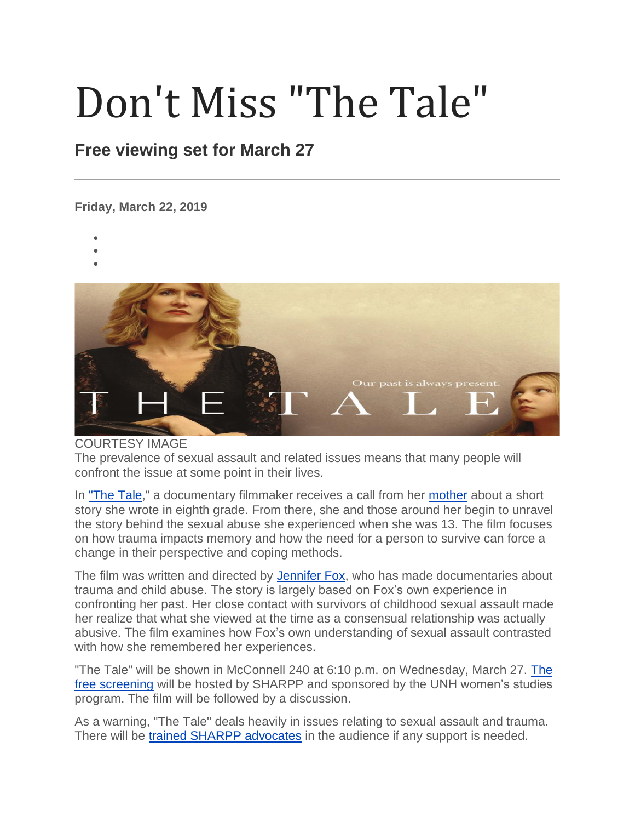## Don't Miss "The Tale"

## **Free viewing set for March 27**

**Friday, March 22, 2019**

- •
- •
- •



## COURTESY IMAGE

The prevalence of sexual assault and related issues means that many people will confront the issue at some point in their lives.

In ["The Tale,](https://thetalemovie.com/)" a documentary filmmaker receives a call from her [mother](https://thetalemovie.com/the-film/letter-from-jennifers-mother/) about a short story she wrote in eighth grade. From there, she and those around her begin to unravel the story behind the sexual abuse she experienced when she was 13. The film focuses on how trauma impacts memory and how the need for a person to survive can force a change in their perspective and coping methods.

The film was written and directed by **Jennifer Fox**, who has made documentaries about trauma and child abuse. The story is largely based on Fox's own experience in confronting her past. Her close contact with survivors of childhood sexual assault made her realize that what she viewed at the time as a consensual relationship was actually abusive. The film examines how Fox's own understanding of sexual assault contrasted with how she remembered her experiences.

"The Tale" will be shown in McConnell 240 at 6:10 p.m. on Wednesday, March 27. [The](https://www.unh.edu/sharpp/events)  [free screening](https://www.unh.edu/sharpp/events) will be hosted by SHARPP and sponsored by the UNH women's studies program. The film will be followed by a discussion.

As a warning, "The Tale" deals heavily in issues relating to sexual assault and trauma. There will be [trained SHARPP advocates](https://www.unh.edu/sharpp/peer-advocates) in the audience if any support is needed.